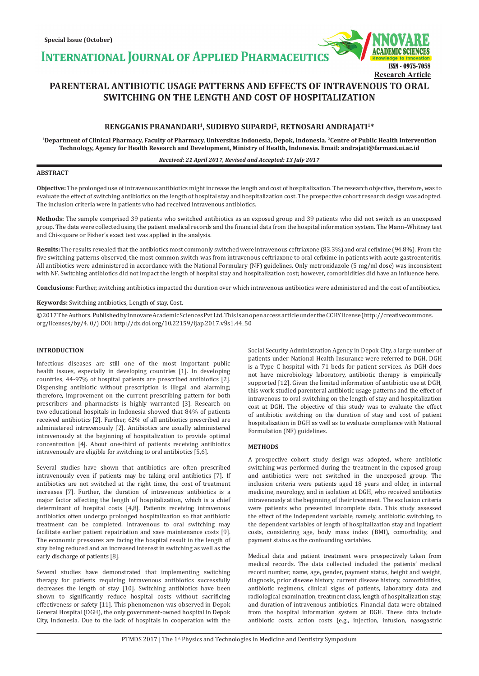**INTERNATIONAL JOURNAL OF APPLIED PHARMACEUTIC** 



# **PARENTERAL ANTIBIOTIC USAGE PATTERNS AND EFFECTS OF INTRAVENOUS TO ORAL SWITCHING ON THE LENGTH AND COST OF HOSPITALIZATION**

# **RENGGANIS PRANANDARI1, SUDIBYO SUPARDI2, RETNOSARI ANDRAJATI1\***

**1Department of Clinical Pharmacy, Faculty of Pharmacy, Universitas Indonesia, Depok, Indonesia. 2Centre of Public Health Intervention Technology, Agency for Health Research and Development, Ministry of Health, Indonesia. Email: andrajati@farmasi.ui.ac.id**

#### *Received: 21 April 2017, Revised and Accepted: 13 July 2017*

## **ABSTRACT**

**Objective:** The prolonged use of intravenous antibiotics might increase the length and cost of hospitalization. The research objective, therefore, was to evaluate the effect of switching antibiotics on the length of hospital stay and hospitalization cost. The prospective cohort research design was adopted. The inclusion criteria were in patients who had received intravenous antibiotics.

**Methods:** The sample comprised 39 patients who switched antibiotics as an exposed group and 39 patients who did not switch as an unexposed group. The data were collected using the patient medical records and the financial data from the hospital information system. The Mann–Whitney test and Chi-square or Fisher's exact test was applied in the analysis.

**Results:** The results revealed that the antibiotics most commonly switched were intravenous ceftriaxone (83.3%) and oral cefixime (94.8%). From the five switching patterns observed, the most common switch was from intravenous ceftriaxone to oral cefixime in patients with acute gastroenteritis. All antibiotics were administered in accordance with the National Formulary (NF) guidelines. Only metronidazole (5 mg/ml dose) was inconsistent with NF. Switching antibiotics did not impact the length of hospital stay and hospitalization cost; however, comorbidities did have an influence here.

**Conclusions:** Further, switching antibiotics impacted the duration over which intravenous antibiotics were administered and the cost of antibiotics.

## **Keywords:** Switching antibiotics, Length of stay, Cost.

© 2017 The Authors. Published by Innovare Academic Sciences Pvt Ltd. This is an open access article under the CC BY license (http://creativecommons. org/licenses/by/4. 0/) DOI: http://dx.doi.org/10.22159/ijap.2017.v9s1.44\_50

#### **INTRODUCTION**

Infectious diseases are still one of the most important public health issues, especially in developing countries [1]. In developing countries, 44-97% of hospital patients are prescribed antibiotics [2]. Dispensing antibiotic without prescription is illegal and alarming; therefore, improvement on the current prescribing pattern for both prescribers and pharmacists is highly warranted [3]. Research on two educational hospitals in Indonesia showed that 84% of patients received antibiotics [2]. Further, 62% of all antibiotics prescribed are administered intravenously [2]. Antibiotics are usually administered intravenously at the beginning of hospitalization to provide optimal concentration [4]. About one-third of patients receiving antibiotics intravenously are eligible for switching to oral antibiotics [5,6].

Several studies have shown that antibiotics are often prescribed intravenously even if patients may be taking oral antibiotics [7]. If antibiotics are not switched at the right time, the cost of treatment increases [7]. Further, the duration of intravenous antibiotics is a major factor affecting the length of hospitalization, which is a chief determinant of hospital costs [4,8]. Patients receiving intravenous antibiotics often undergo prolonged hospitalization so that antibiotic treatment can be completed. Intravenous to oral switching may facilitate earlier patient repatriation and save maintenance costs [9]. The economic pressures are facing the hospital result in the length of stay being reduced and an increased interest in switching as well as the early discharge of patients [8].

Several studies have demonstrated that implementing switching therapy for patients requiring intravenous antibiotics successfully decreases the length of stay [10]. Switching antibiotics have been shown to significantly reduce hospital costs without sacrificing effectiveness or safety [11]. This phenomenon was observed in Depok General Hospital (DGH), the only government-owned hospital in Depok City, Indonesia. Due to the lack of hospitals in cooperation with the Social Security Administration Agency in Depok City, a large number of patients under National Health Insurance were referred to DGH. DGH is a Type C hospital with 71 beds for patient services. As DGH does not have microbiology laboratory, antibiotic therapy is empirically supported [12]. Given the limited information of antibiotic use at DGH, this work studied parenteral antibiotic usage patterns and the effect of intravenous to oral switching on the length of stay and hospitalization cost at DGH. The objective of this study was to evaluate the effect of antibiotic switching on the duration of stay and cost of patient hospitalization in DGH as well as to evaluate compliance with National Formulation (NF) guidelines.

#### **METHODS**

A prospective cohort study design was adopted, where antibiotic switching was performed during the treatment in the exposed group and antibiotics were not switched in the unexposed group. The inclusion criteria were patients aged 18 years and older, in internal medicine, neurology, and in isolation at DGH, who received antibiotics intravenously at the beginning of their treatment. The exclusion criteria were patients who presented incomplete data. This study assessed the effect of the independent variable, namely, antibiotic switching, to the dependent variables of length of hospitalization stay and inpatient costs, considering age, body mass index (BMI), comorbidity, and payment status as the confounding variables.

Medical data and patient treatment were prospectively taken from medical records. The data collected included the patients' medical record number, name, age, gender, payment status, height and weight, diagnosis, prior disease history, current disease history, comorbidities, antibiotic regimens, clinical signs of patients, laboratory data and radiological examination, treatment class, length of hospitalization stay, and duration of intravenous antibiotics. Financial data were obtained from the hospital information system at DGH. These data include antibiotic costs, action costs (e.g., injection, infusion, nasogastric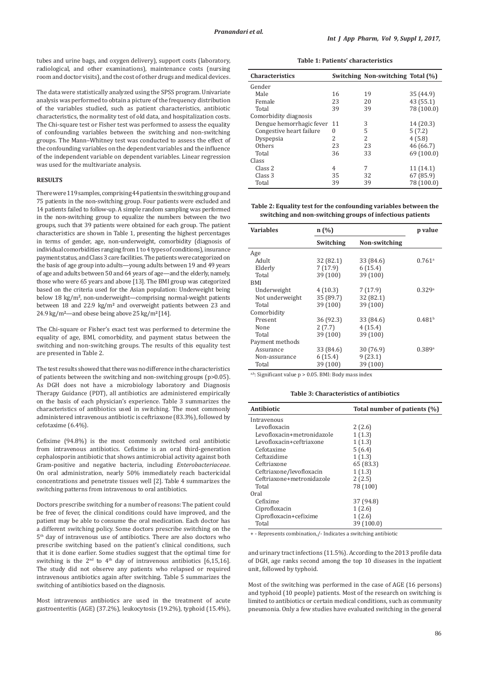tubes and urine bags, and oxygen delivery), support costs (laboratory, radiological, and other examinations), maintenance costs (nursing room and doctor visits), and the cost of other drugs and medical devices.

The data were statistically analyzed using the SPSS program. Univariate analysis was performed to obtain a picture of the frequency distribution of the variables studied, such as patient characteristics, antibiotic characteristics, the normality test of old data, and hospitalization costs. The Chi-square test or Fisher test was performed to assess the equality of confounding variables between the switching and non-switching groups. The Mann–Whitney test was conducted to assess the effect of the confounding variables on the dependent variables and the influence of the independent variable on dependent variables. Linear regression was used for the multivariate analysis.

#### **RESULTS**

There were 119 samples, comprising 44 patients in the switching group and 75 patients in the non-switching group. Four patients were excluded and 14 patients failed to follow-up. A simple random sampling was performed in the non-switching group to equalize the numbers between the two groups, such that 39 patients were obtained for each group. The patient characteristics are shown in Table 1, presenting the highest percentages in terms of gender, age, non-underweight, comorbidity (diagnosis of individual comorbidities ranging from 1 to 4 types of conditions), insurance payment status, and Class 3 care facilities. The patients were categorized on the basis of age group into adults—young adults between 19 and 49 years of age and adults between 50 and 64 years of age—and the elderly, namely, those who were 65 years and above [13]. The BMI group was categorized based on the criteria used for the Asian population: Underweight being below 18 kg/m**<sup>2</sup>**, non-underweight—comprising normal-weight patients between 18 and 22.9 kg/m**<sup>2</sup>** and overweight patients between 23 and 24.9 kg/m**<sup>2</sup>**—and obese being above 25 kg/m**<sup>2</sup>**[14].

The Chi-square or Fisher's exact test was performed to determine the equality of age, BMI, comorbidity, and payment status between the switching and non-switching groups. The results of this equality test are presented in Table 2.

The test results showed that there was no difference in the characteristics of patients between the switching and non-switching groups (p>0.05). As DGH does not have a microbiology laboratory and Diagnosis Therapy Guidance (PDT), all antibiotics are administered empirically on the basis of each physician's experience. Table 3 summarizes the characteristics of antibiotics used in switching. The most commonly administered intravenous antibiotic is ceftriaxone (83.3%), followed by cefotaxime (6.4%).

Cefixime (94.8%) is the most commonly switched oral antibiotic from intravenous antibiotics. Cefixime is an oral third-generation cephalosporin antibiotic that shows antimicrobial activity against both Gram-positive and negative bacteria, including *Enterobacteriaceae*. On oral administration, nearly 50% immediately reach bactericidal concentrations and penetrate tissues well [2]. Table 4 summarizes the switching patterns from intravenous to oral antibiotics.

Doctors prescribe switching for a number of reasons: The patient could be free of fever, the clinical conditions could have improved, and the patient may be able to consume the oral medication. Each doctor has a different switching policy. Some doctors prescribe switching on the 5th day of intravenous use of antibiotics. There are also doctors who prescribe switching based on the patient's clinical conditions, such that it is done earlier. Some studies suggest that the optimal time for switching is the  $2<sup>nd</sup>$  to  $4<sup>th</sup>$  day of intravenous antibiotics [6,15,16]. The study did not observe any patients who relapsed or required intravenous antibiotics again after switching. Table 5 summarizes the switching of antibiotics based on the diagnosis.

Most intravenous antibiotics are used in the treatment of acute gastroenteritis (AGE) (37.2%), leukocytosis (19.2%), typhoid (15.4%),

**Table 1: Patients' characteristics**

| <b>Characteristics</b>      |          | Switching Non-switching Total (%) |            |
|-----------------------------|----------|-----------------------------------|------------|
| Gender                      |          |                                   |            |
| Male                        | 16       | 19                                | 35 (44.9)  |
| Female                      | 23       | 20                                | 43 (55.1)  |
| Total                       | 39       | 39                                | 78 (100.0) |
| Comorbidity diagnosis       |          |                                   |            |
| Dengue hemorrhagic fever 11 |          | 3                                 | 14 (20.3)  |
| Congestive heart failure    | $\Omega$ | 5                                 | 5(7.2)     |
| Dyspepsia                   | 2        | $\overline{\mathcal{L}}$          | 4(5.8)     |
| Others                      | 23       | 23                                | 46 (66.7)  |
| Total                       | 36       | 33                                | 69 (100.0) |
| Class                       |          |                                   |            |
| Class 2                     | 4        | 7                                 | 11 (14.1)  |
| Class 3                     | 35       | 32                                | 67 (85.9)  |
| Total                       | 39       | 39                                | 78 (100.0) |

**Table 2: Equality test for the confounding variables between the switching and non‑switching groups of infectious patients**

| <b>Variables</b> | n(%)      |               | p value              |
|------------------|-----------|---------------|----------------------|
|                  | Switching | Non-switching |                      |
| Age              |           |               |                      |
| Adult            | 32 (82.1) | 33 (84.6)     | $0.761$ <sup>a</sup> |
| Elderly          | 7(17.9)   | 6(15.4)       |                      |
| Total            | 39 (100)  | 39 (100)      |                      |
| BMI              |           |               |                      |
| Underweight      | 4(10.3)   | 7(17.9)       | 0.329a               |
| Not underweight  | 35 (89.7) | 32 (82.1)     |                      |
| Total            | 39 (100)  | 39 (100)      |                      |
| Comorbidity      |           |               |                      |
| Present          | 36 (92.3) | 33 (84.6)     | 0.481 <sup>b</sup>   |
| None             | 2(7.7)    | 4(15.4)       |                      |
| Total            | 39 (100)  | 39 (100)      |                      |
| Payment methods  |           |               |                      |
| Assurance        | 33 (84.6) | 30 (76.9)     | 0.389a               |
| Non-assurance    | 6(15.4)   | 9(23.1)       |                      |
| Total            | 39 (100)  | 39 (100)      |                      |

a,b: Significant value p > 0.05. BMI: Body mass index

**Table 3: Characteristics of antibiotics**

| Antibiotic                 | Total number of patients (%) |
|----------------------------|------------------------------|
| Intravenous                |                              |
| Levofloxacin               | 2(2.6)                       |
| Levofloxacin+metronidazole | 1(1.3)                       |
| Levofloxacin+ceftriaxone   | 1(1.3)                       |
| Cefotaxime                 | 5(6.4)                       |
| Ceftazidime                | 1(1.3)                       |
| Ceftriaxone                | 65 (83.3)                    |
| Ceftriaxone/levofloxacin   | 1(1.3)                       |
| Ceftriaxone+metronidazole  | 2(2.5)                       |
| Total                      | 78 (100)                     |
| Oral                       |                              |
| Cefixime                   | 37 (94.8)                    |
| Ciprofloxacin              | 1(2.6)                       |
| Ciprofloxacin+cefixime     | 1(2.6)                       |
| Total                      | 39 (100.0)                   |

+ - Represents combination,/- Indicates a switching antibiotic

and urinary tract infections (11.5%). According to the 2013 profile data of DGH, age ranks second among the top 10 diseases in the inpatient unit, followed by typhoid.

Most of the switching was performed in the case of AGE (16 persons) and typhoid (10 people) patients. Most of the research on switching is limited to antibiotics or certain medical conditions, such as community pneumonia. Only a few studies have evaluated switching in the general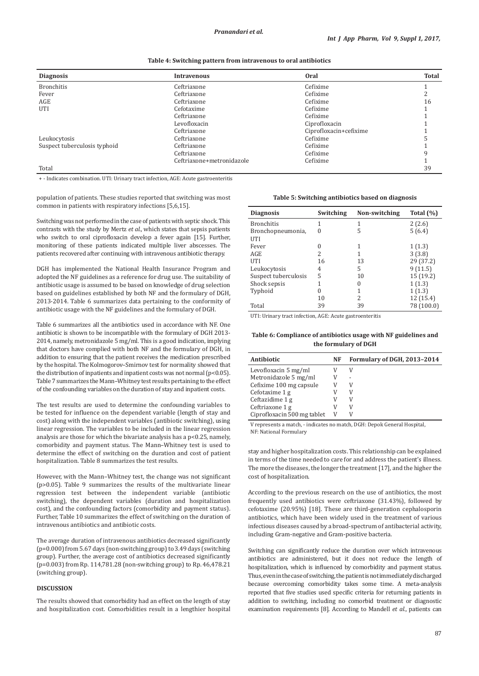| <b>Diagnosis</b>             | <b>Intravenous</b>        | <b>Oral</b>            | <b>Total</b> |
|------------------------------|---------------------------|------------------------|--------------|
| <b>Bronchitis</b>            | Ceftriaxone               | Cefixime               |              |
| Fever                        | Ceftriaxone               | Cefixime               |              |
| AGE                          | Ceftriaxone               | Cefixime               | 16           |
| UTI                          | Cefotaxime                | Cefixime               |              |
|                              | Ceftriaxone               | Cefixime               |              |
|                              | Levofloxacin              | Ciprofloxacin          |              |
|                              | Ceftriaxone               | Ciprofloxacin+cefixime |              |
| Leukocytosis                 | Ceftriaxone               | Cefixime               |              |
| Suspect tuberculosis typhoid | Ceftriaxone               | Cefixime               |              |
|                              | Ceftriaxone               | Cefixime               | q            |
|                              | Ceftriaxone+metronidazole | Cefixime               |              |
| Total                        |                           |                        | 39           |

+ - Indicates combination. UTI: Urinary tract infection, AGE: Acute gastroenteritis

population of patients. These studies reported that switching was most common in patients with respiratory infections [5,6,15].

Switching was not performed in the case of patients with septic shock. This contrasts with the study by Mertz *et al*., which states that sepsis patients who switch to oral ciprofloxacin develop a fever again [15]. Further, monitoring of these patients indicated multiple liver abscesses. The patients recovered after continuing with intravenous antibiotic therapy.

DGH has implemented the National Health Insurance Program and adopted the NF guidelines as a reference for drug use. The suitability of antibiotic usage is assumed to be based on knowledge of drug selection based on guidelines established by both NF and the formulary of DGH, 2013-2014. Table 6 summarizes data pertaining to the conformity of antibiotic usage with the NF guidelines and the formulary of DGH.

Table 6 summarizes all the antibiotics used in accordance with NF. One antibiotic is shown to be incompatible with the formulary of DGH 2013- 2014, namely, metronidazole 5 mg/ml. This is a good indication, implying that doctors have complied with both NF and the formulary of DGH, in addition to ensuring that the patient receives the medication prescribed by the hospital. The Kolmogorov–Smirnov test for normality showed that the distribution of inpatients and inpatient costs was not normal (p<0.05). Table 7 summarizes the Mann–Whitney test results pertaining to the effect of the confounding variables on the duration of stay and inpatient costs.

The test results are used to determine the confounding variables to be tested for influence on the dependent variable (length of stay and cost) along with the independent variables (antibiotic switching), using linear regression. The variables to be included in the linear regression analysis are those for which the bivariate analysis has a p<0.25, namely, comorbidity and payment status. The Mann–Whitney test is used to determine the effect of switching on the duration and cost of patient hospitalization. Table 8 summarizes the test results.

However, with the Mann–Whitney test, the change was not significant (p>0.05). Table 9 summarizes the results of the multivariate linear regression test between the independent variable (antibiotic switching), the dependent variables (duration and hospitalization cost), and the confounding factors (comorbidity and payment status). Further, Table 10 summarizes the effect of switching on the duration of intravenous antibiotics and antibiotic costs.

The average duration of intravenous antibiotics decreased significantly (p=0.000) from 5.67 days (non-switching group) to 3.49 days (switching group). Further, the average cost of antibiotics decreased significantly (p=0.003) from Rp. 114,781.28 (non-switching group) to Rp. 46,478.21 (switching group).

### **DISCUSSION**

The results showed that comorbidity had an effect on the length of stay and hospitalization cost. Comorbidities result in a lengthier hospital

**Table 5: Switching antibiotics based on diagnosis**

| <b>Diagnosis</b>     | Switching | Non-switching | Total $(\%)$ |
|----------------------|-----------|---------------|--------------|
| <b>Bronchitis</b>    |           | 1             | 2(2.6)       |
| Bronchopneumonia,    | $\Omega$  | 5             | 5(6.4)       |
| UTI                  |           |               |              |
| Fever                |           | 1             | 1(1.3)       |
| AGE                  | 2         | 1             | 3(3.8)       |
| UTI                  | 16        | 13            | 29 (37.2)    |
| Leukocytosis         | 4         | 5             | 9(11.5)      |
| Suspect tuberculosis | 5         | 10            | 15 (19.2)    |
| Shock sepsis         |           | 0             | 1(1.3)       |
| Typhoid              | 0         | 1             | 1(1.3)       |
|                      | 10        | 2             | 12 (15.4)    |
| Total                | 39        | 39            | 78 (100.0)   |

UTI: Urinary tract infection, AGE: Acute gastroenteritis

**Table 6: Compliance of antibiotics usage with NF guidelines and the formulary of DGH**

| <b>Antibiotic</b>           | NF | Formulary of DGH, 2013-2014 |
|-----------------------------|----|-----------------------------|
| Levofloxacin 5 mg/ml        |    | V                           |
| Metronidazole 5 mg/ml       |    |                             |
| Cefixime 100 mg capsule     |    | V                           |
| Cefotaxime 1 g              |    |                             |
| Ceftazidime 1 g             | V  | V                           |
| Ceftriaxone 1 g             |    | V                           |
| Ciprofloxacin 500 mg tablet | V  |                             |

V represents a match, - indicates no match, DGH: Depok General Hospital, NF: National Formulary

stay and higher hospitalization costs. This relationship can be explained in terms of the time needed to care for and address the patient's illness. The more the diseases, the longer the treatment [17], and the higher the cost of hospitalization.

According to the previous research on the use of antibiotics, the most frequently used antibiotics were ceftriaxone (31.43%), followed by cefotaxime (20.95%) [18]. These are third-generation cephalosporin antibiotics, which have been widely used in the treatment of various infectious diseases caused by a broad-spectrum of antibacterial activity, including Gram-negative and Gram-positive bacteria.

Switching can significantly reduce the duration over which intravenous antibiotics are administered, but it does not reduce the length of hospitalization, which is influenced by comorbidity and payment status. Thus, even in the case of switching, the patient is not immediately discharged because overcoming comorbidity takes some time. A meta-analysis reported that five studies used specific criteria for returning patients in addition to switching, including no comorbid treatment or diagnostic examination requirements [8]. According to Mandell *et al*., patients can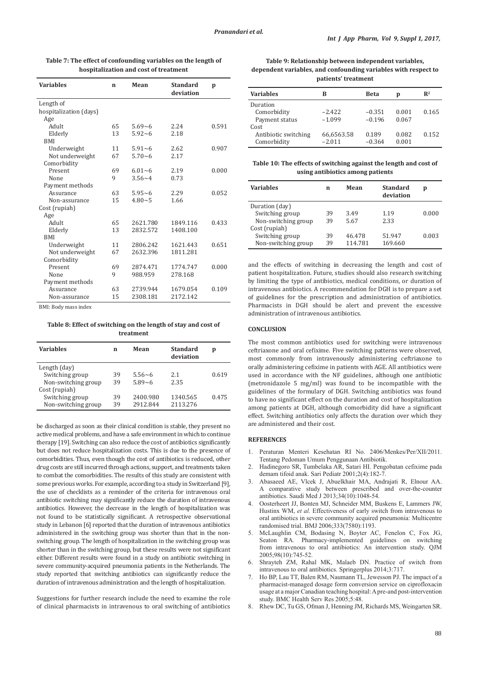| <b>Variables</b>       | $\mathbf n$ | Mean       | <b>Standard</b><br>deviation | p     |
|------------------------|-------------|------------|------------------------------|-------|
| Length of              |             |            |                              |       |
| hospitalization (days) |             |            |                              |       |
| Age                    |             |            |                              |       |
| Adult                  | 65          | $5.69 - 6$ | 2.24                         | 0.591 |
| Elderly                | 13          | $5.92 - 6$ | 2.18                         |       |
| <b>BMI</b>             |             |            |                              |       |
| Underweight            | 11          | $5.91 - 6$ | 2.62                         | 0.907 |
| Not underweight        | 67          | $5.70 - 6$ | 2.17                         |       |
| Comorbidity            |             |            |                              |       |
| Present                | 69          | $6.01 - 6$ | 2.19                         | 0.000 |
| None                   | 9           | $3.56 - 4$ | 0.73                         |       |
| Payment methods        |             |            |                              |       |
| Assurance              | 63          | $5.95 - 6$ | 2.29                         | 0.052 |
| Non-assurance          | 15          | $4.80 - 5$ | 1.66                         |       |
| Cost (rupiah)          |             |            |                              |       |
| Age                    |             |            |                              |       |
| Adult                  | 65          | 2621.780   | 1849.116                     | 0.433 |
| Elderly                | 13          | 2832.572   | 1408.100                     |       |
| <b>BMI</b>             |             |            |                              |       |
| Underweight            | 11          | 2806.242   | 1621.443                     | 0.651 |
| Not underweight        | 67          | 2632.396   | 1811.281                     |       |
| Comorbidity            |             |            |                              |       |
| Present                | 69          | 2874.471   | 1774.747                     | 0.000 |
| None                   | 9           | 988.959    | 278.168                      |       |
| Payment methods        |             |            |                              |       |
| Assurance              | 63          | 2739.944   | 1679.054                     | 0.109 |
| Non-assurance          | 15          | 2308.181   | 2172.142                     |       |

**Table 7: The effect of confounding variables on the length of hospitalization and cost of treatment**

BMI: Body mass index

**Table 8: Effect of switching on the length of stay and cost of treatment**

| Variables           | n  | Mean       | Standard<br>deviation | p     |
|---------------------|----|------------|-----------------------|-------|
| Length (day)        |    |            |                       |       |
| Switching group     | 39 | $5.56 - 6$ | 2.1                   | 0.619 |
| Non-switching group | 39 | $5.89 - 6$ | 2.35                  |       |
| Cost (rupiah)       |    |            |                       |       |
| Switching group     | 39 | 2400.980   | 1340.565              | 0.475 |
| Non-switching group | 39 | 2912.844   | 2113.276              |       |
|                     |    |            |                       |       |

be discharged as soon as their clinical condition is stable, they present no active medical problems, and have a safe environment in which to continue therapy [19]. Switching can also reduce the cost of antibiotics significantly but does not reduce hospitalization costs. This is due to the presence of comorbidities. Thus, even though the cost of antibiotics is reduced, other drug costs are still incurred through actions, support, and treatments taken to combat the comorbidities. The results of this study are consistent with some previous works. For example, according to a study in Switzerland [9], the use of checklists as a reminder of the criteria for intravenous oral antibiotic switching may significantly reduce the duration of intravenous antibiotics. However, the decrease in the length of hospitalization was not found to be statistically significant. A retrospective observational study in Lebanon [6] reported that the duration of intravenous antibiotics administered in the switching group was shorter than that in the nonswitching group. The length of hospitalization in the switching group was shorter than in the switching group, but these results were not significant either. Different results were found in a study on antibiotic switching in severe community-acquired pneumonia patients in the Netherlands. The study reported that switching antibiotics can significantly reduce the duration of intravenous administration and the length of hospitalization.

Suggestions for further research include the need to examine the role of clinical pharmacists in intravenous to oral switching of antibiotics

**Table 9: Relationship between independent variables, dependent variables, and confounding variables with respect to patients' treatment**

| <b>Variables</b>     | в          | <b>Beta</b> | p     | $\mathbb{R}^2$ |
|----------------------|------------|-------------|-------|----------------|
| Duration             |            |             |       |                |
| Comorbidity          | $-2.422$   | $-0.351$    | 0.001 | 0.165          |
| Payment status       | $-1.099$   | $-0.196$    | 0.067 |                |
| Cost                 |            |             |       |                |
| Antibiotic switching | 66,6563.58 | 0.189       | 0.082 | 0.152          |
| Comorbidity          | $-2.011$   | $-0.364$    | 0.001 |                |

**Table 10: The effects of switching against the length and cost of using antibiotics among patients**

| <b>Variables</b>    | n  | Mean    | <b>Standard</b><br>deviation | p     |
|---------------------|----|---------|------------------------------|-------|
| Duration (day)      |    |         |                              |       |
| Switching group     | 39 | 3.49    | 1.19                         | 0.000 |
| Non-switching group | 39 | 5.67    | 2.33                         |       |
| Cost (rupiah)       |    |         |                              |       |
| Switching group     | 39 | 46.478  | 51.947                       | 0.003 |
| Non-switching group | 39 | 114.781 | 169.660                      |       |

and the effects of switching in decreasing the length and cost of patient hospitalization. Future, studies should also research switching by limiting the type of antibiotics, medical conditions, or duration of intravenous antibiotics. A recommendation for DGH is to prepare a set of guidelines for the prescription and administration of antibiotics. Pharmacists in DGH should be alert and prevent the excessive administration of intravenous antibiotics.

## **CONCLUSION**

The most common antibiotics used for switching were intravenous ceftriaxone and oral cefixime. Five switching patterns were observed, most commonly from intravenously administering ceftriaxone to orally administering cefixime in patients with AGE. All antibiotics were used in accordance with the NF guidelines, although one antibiotic (metronidazole 5 mg/ml) was found to be incompatible with the guidelines of the formulary of DGH. Switching antibiotics was found to have no significant effect on the duration and cost of hospitalization among patients at DGH, although comorbidity did have a significant effect. Switching antibiotics only affects the duration over which they are administered and their cost.

# **REFERENCES**

- 1. Peraturan Menteri Kesehatan RI No. 2406/Menkes/Per/XII/2011. Tentang Pedoman Umum Penggunaan Antibiotik.
- 2. Hadinegoro SR, Tumbelaka AR, Satari HI. Pengobatan cefixime pada demam tifoid anak. Sari Pediatr 2001;2(4):182-7.
- 3. Abasaeed AE, Vlcek J, Abuelkhair MA, Andrajati R, Elnour AA. A comparative study between prescribed and over-the-counter antibiotics. Saudi Med J 2013;34(10):1048-54.
- 4. Oosterheert JJ, Bonten MJ, Schneider MM, Buskens E, Lammers JW, Hustinx WM, *et al.* Effectiveness of early switch from intravenous to oral antibiotics in severe community acquired pneumonia: Multicentre randomised trial. BMJ 2006;333(7580):1193.
- 5. McLaughlin CM, Bodasing N, Boyter AC, Fenelon C, Fox JG, Seaton RA. Pharmacy-implemented guidelines on switching from intravenous to oral antibiotics: An intervention study. QJM 2005;98(10):745-52.
- 6. Shrayteh ZM, Rahal MK, Malaeb DN. Practice of switch from intravenous to oral antibiotics. Springerplus 2014;3:717.
- 7. Ho BP, Lau TT, Balen RM, Naumann TL, Jewesson PJ. The impact of a pharmacist-managed dosage form conversion service on ciprofloxacin usage at a major Canadian teaching hospital: A pre-and post-intervention study. BMC Health Serv Res 2005;5:48.
- 8. Rhew DC, Tu GS, Ofman J, Henning JM, Richards MS, Weingarten SR.